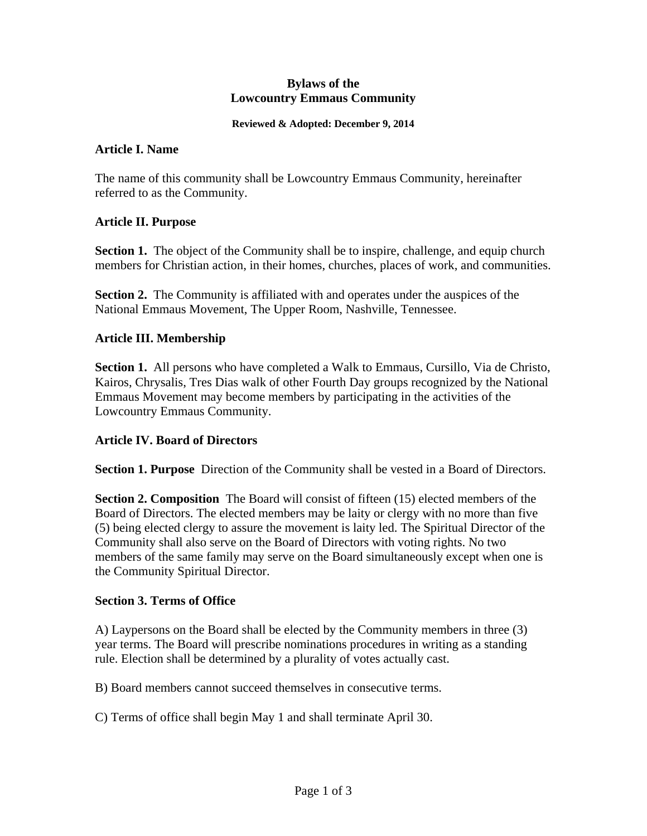#### **Bylaws of the Lowcountry Emmaus Community**

#### **Reviewed & Adopted: December 9, 2014**

#### **Article I. Name**

The name of this community shall be Lowcountry Emmaus Community, hereinafter referred to as the Community.

#### **Article II. Purpose**

**Section 1.** The object of the Community shall be to inspire, challenge, and equip church members for Christian action, in their homes, churches, places of work, and communities.

**Section 2.** The Community is affiliated with and operates under the auspices of the National Emmaus Movement, The Upper Room, Nashville, Tennessee.

#### **Article III. Membership**

**Section 1.** All persons who have completed a Walk to Emmaus, Cursillo, Via de Christo, Kairos, Chrysalis, Tres Dias walk of other Fourth Day groups recognized by the National Emmaus Movement may become members by participating in the activities of the Lowcountry Emmaus Community.

# **Article IV. Board of Directors**

**Section 1. Purpose** Direction of the Community shall be vested in a Board of Directors.

**Section 2. Composition** The Board will consist of fifteen (15) elected members of the Board of Directors. The elected members may be laity or clergy with no more than five (5) being elected clergy to assure the movement is laity led. The Spiritual Director of the Community shall also serve on the Board of Directors with voting rights. No two members of the same family may serve on the Board simultaneously except when one is the Community Spiritual Director.

# **Section 3. Terms of Office**

A) Laypersons on the Board shall be elected by the Community members in three (3) year terms. The Board will prescribe nominations procedures in writing as a standing rule. Election shall be determined by a plurality of votes actually cast.

B) Board members cannot succeed themselves in consecutive terms.

C) Terms of office shall begin May 1 and shall terminate April 30.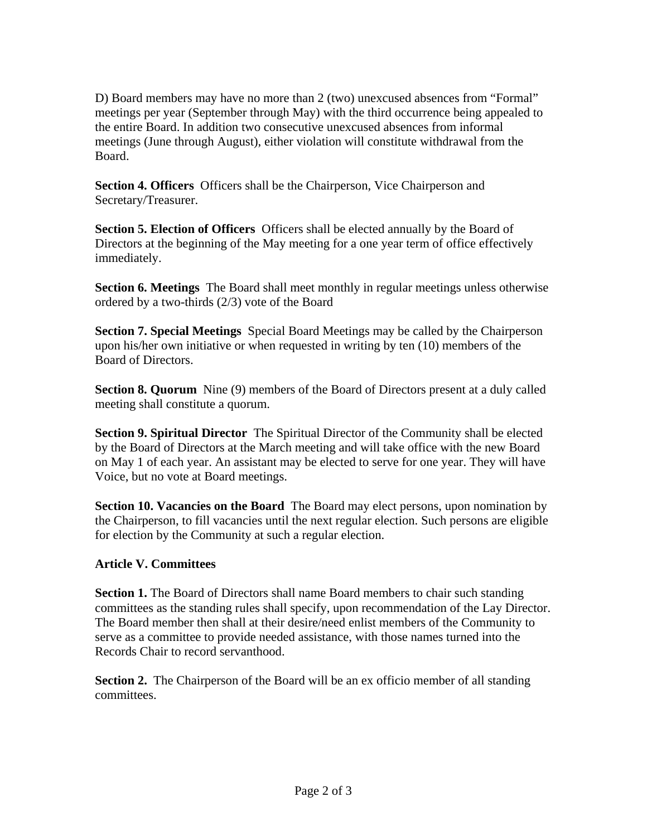D) Board members may have no more than 2 (two) unexcused absences from "Formal" meetings per year (September through May) with the third occurrence being appealed to the entire Board. In addition two consecutive unexcused absences from informal meetings (June through August), either violation will constitute withdrawal from the Board.

**Section 4. Officers** Officers shall be the Chairperson, Vice Chairperson and Secretary/Treasurer.

**Section 5. Election of Officers** Officers shall be elected annually by the Board of Directors at the beginning of the May meeting for a one year term of office effectively immediately.

**Section 6. Meetings** The Board shall meet monthly in regular meetings unless otherwise ordered by a two-thirds (2/3) vote of the Board

**Section 7. Special Meetings** Special Board Meetings may be called by the Chairperson upon his/her own initiative or when requested in writing by ten (10) members of the Board of Directors.

**Section 8. Quorum** Nine (9) members of the Board of Directors present at a duly called meeting shall constitute a quorum.

**Section 9. Spiritual Director** The Spiritual Director of the Community shall be elected by the Board of Directors at the March meeting and will take office with the new Board on May 1 of each year. An assistant may be elected to serve for one year. They will have Voice, but no vote at Board meetings.

**Section 10. Vacancies on the Board** The Board may elect persons, upon nomination by the Chairperson, to fill vacancies until the next regular election. Such persons are eligible for election by the Community at such a regular election.

# **Article V. Committees**

**Section 1.** The Board of Directors shall name Board members to chair such standing committees as the standing rules shall specify, upon recommendation of the Lay Director. The Board member then shall at their desire/need enlist members of the Community to serve as a committee to provide needed assistance, with those names turned into the Records Chair to record servanthood.

**Section 2.** The Chairperson of the Board will be an ex officio member of all standing committees.